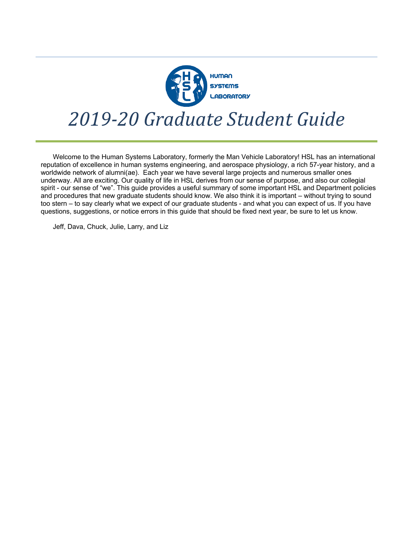

# *2019-20 Graduate Student Guide*

Welcome to the Human Systems Laboratory, formerly the Man Vehicle Laboratory! HSL has an international reputation of excellence in human systems engineering, and aerospace physiology, a rich 57-year history, and a worldwide network of alumni(ae). Each year we have several large projects and numerous smaller ones underway. All are exciting. Our quality of life in HSL derives from our sense of purpose, and also our collegial spirit - our sense of "we". This guide provides a useful summary of some important HSL and Department policies and procedures that new graduate students should know. We also think it is important – without trying to sound too stern – to say clearly what we expect of our graduate students - and what you can expect of us. If you have questions, suggestions, or notice errors in this guide that should be fixed next year, be sure to let us know.

Jeff, Dava, Chuck, Julie, Larry, and Liz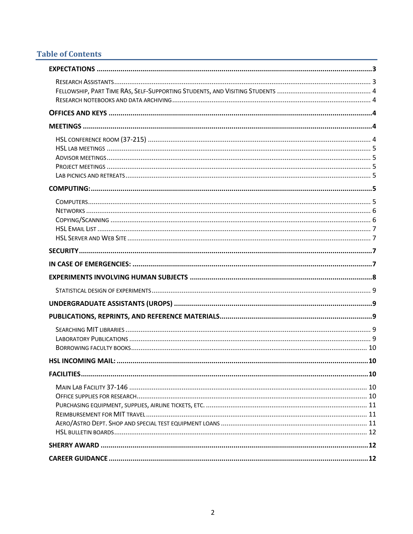## **Table of Contents**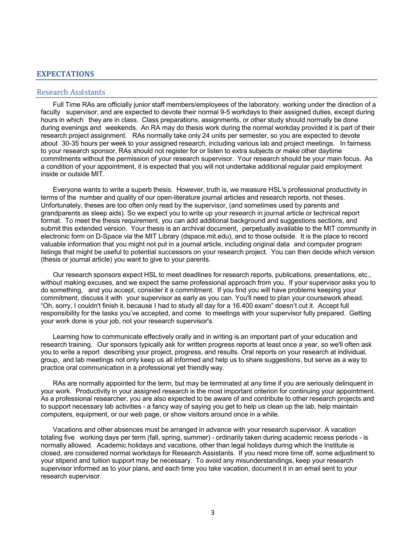## **EXPECTATIONS**

#### Research Assistants

Full Time RAs are officially junior staff members/employees of the laboratory, working under the direction of a faculty supervisor, and are expected to devote their normal 9-5 workdays to their assigned duties, except during hours in which they are in class. Class preparations, assignments, or other study should normally be done during evenings and weekends. An RA may do thesis work during the normal workday provided it is part of their research project assignment. RAs normally take only 24 units per semester, so you are expected to devote about 30-35 hours per week to your assigned research, including various lab and project meetings. In fairness to your research sponsor, RAs should not register for or listen to extra subjects or make other daytime commitments without the permission of your research supervisor. Your research should be your main focus. As a condition of your appointment, it is expected that you will not undertake additional regular paid employment inside or outside MIT.

Everyone wants to write a superb thesis. However, truth is, we measure HSL's professional productivity in terms of the number and quality of our open-literature journal articles and research reports, not theses. Unfortunately, theses are too often only read by the supervisor, (and sometimes used by parents and grandparents as sleep aids). So we expect you to write up your research in journal article or technical report format. To meet the thesis requirement, you can add additional background and suggestions sections, and submit this extended version. Your thesis is an archival document, perpetually available to the MIT community in electronic form on D-Space via the MIT Library (dspace.mit.edu), and to those outside. It is the place to record valuable information that you might not put in a journal article, including original data and computer program listings that might be useful to potential successors on your research project. You can then decide which version (thesis or journal article) you want to give to your parents.

Our research sponsors expect HSL to meet deadlines for research reports, publications, presentations, etc., without making excuses, and we expect the same professional approach from you. If your supervisor asks you to do something, and you accept, consider it a commitment. If you find you will have problems keeping your commitment, discuss it with your supervisor as early as you can. You'll need to plan your coursework ahead. "Oh, sorry, I couldn't finish it, because I had to study all day for a 16.400 exam" doesn't cut it. Accept full responsibility for the tasks you've accepted, and come to meetings with your supervisor fully prepared. Getting your work done is your job, not your research supervisor's.

Learning how to communicate effectively orally and in writing is an important part of your education and research training. Our sponsors typically ask for written progress reports at least once a year, so we'll often ask you to write a report describing your project, progress, and results. Oral reports on your research at individual, group, and lab meetings not only keep us all informed and help us to share suggestions, but serve as a way to practice oral communication in a professional yet friendly way.

RAs are normally appointed for the term, but may be terminated at any time if you are seriously delinquent in your work. Productivity in your assigned research is the most important criterion for continuing your appointment. As a professional researcher, you are also expected to be aware of and contribute to other research projects and to support necessary lab activities - a fancy way of saying you get to help us clean up the lab, help maintain computers, equipment, or our web page, or show visitors around once in a while.

Vacations and other absences must be arranged in advance with your research supervisor. A vacation totaling five working days per term (fall, spring, summer) - ordinarily taken during academic recess periods - is normally allowed. Academic holidays and vacations, other than legal holidays during which the Institute is closed, are considered normal workdays for Research Assistants. If you need more time off, some adjustment to your stipend and tuition support may be necessary. To avoid any misunderstandings, keep your research supervisor informed as to your plans, and each time you take vacation, document it in an email sent to your research supervisor.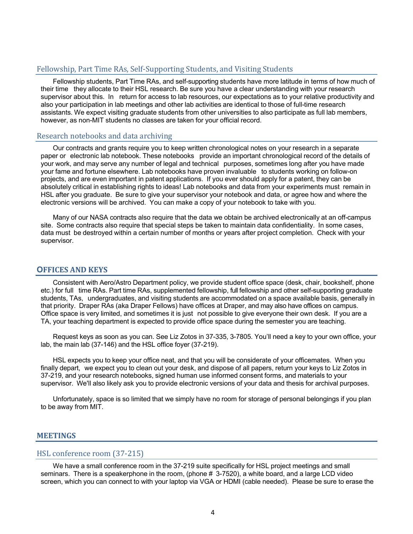### Fellowship, Part Time RAs, Self-Supporting Students, and Visiting Students

Fellowship students, Part Time RAs, and self-supporting students have more latitude in terms of how much of their time they allocate to their HSL research. Be sure you have a clear understanding with your research supervisor about this. In return for access to lab resources, our expectations as to your relative productivity and also your participation in lab meetings and other lab activities are identical to those of full-time research assistants. We expect visiting graduate students from other universities to also participate as full lab members, however, as non-MIT students no classes are taken for your official record.

#### Research notebooks and data archiving

Our contracts and grants require you to keep written chronological notes on your research in a separate paper or electronic lab notebook. These notebooks provide an important chronological record of the details of your work, and may serve any number of legal and technical purposes, sometimes long after you have made your fame and fortune elsewhere. Lab notebooks have proven invaluable to students working on follow-on projects, and are even important in patent applications. If you ever should apply for a patent, they can be absolutely critical in establishing rights to ideas! Lab notebooks and data from your experiments must remain in HSL after you graduate. Be sure to give your supervisor your notebook and data, or agree how and where the electronic versions will be archived. You can make a copy of your notebook to take with you.

Many of our NASA contracts also require that the data we obtain be archived electronically at an off-campus site. Some contracts also require that special steps be taken to maintain data confidentiality. In some cases, data must be destroyed within a certain number of months or years after project completion. Check with your supervisor.

#### **OFFICES AND KEYS**

Consistent with Aero/Astro Department policy, we provide student office space (desk, chair, bookshelf, phone etc.) for full time RAs. Part time RAs, supplemented fellowship, full fellowship and other self-supporting graduate students, TAs, undergraduates, and visiting students are accommodated on a space available basis, generally in that priority. Draper RAs (aka Draper Fellows) have offices at Draper, and may also have offices on campus. Office space is very limited, and sometimes it is just not possible to give everyone their own desk. If you are a TA, your teaching department is expected to provide office space during the semester you are teaching.

Request keys as soon as you can. See Liz Zotos in 37-335, 3-7805. You'll need a key to your own office, your lab, the main lab (37-146) and the HSL office foyer (37-219).

HSL expects you to keep your office neat, and that you will be considerate of your officemates. When you finally depart, we expect you to clean out your desk, and dispose of all papers, return your keys to Liz Zotos in 37-219, and your research notebooks, signed human use informed consent forms, and materials to your supervisor. We'll also likely ask you to provide electronic versions of your data and thesis for archival purposes.

Unfortunately, space is so limited that we simply have no room for storage of personal belongings if you plan to be away from MIT.

#### **MEETINGS**

#### HSL conference room (37-215)

We have a small conference room in the 37-219 suite specifically for HSL project meetings and small seminars. There is a speakerphone in the room, (phone # 3-7520), a white board, and a large LCD video screen, which you can connect to with your laptop via VGA or HDMI (cable needed). Please be sure to erase the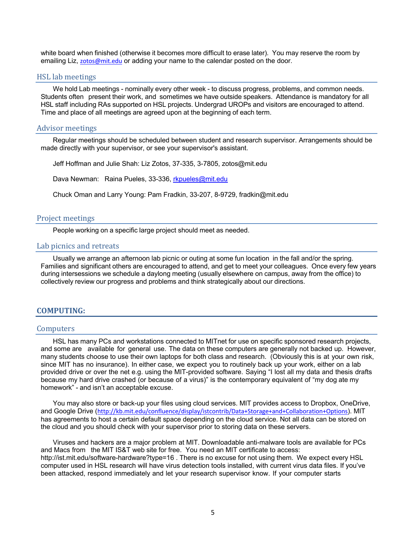white board when finished (otherwise it becomes more difficult to erase later). You may reserve the room by emailing Liz, zotos@mit.edu or adding your name to the calendar posted on the door.

#### HSL lab meetings

We hold Lab meetings - nominally every other week - to discuss progress, problems, and common needs. Students often present their work, and sometimes we have outside speakers. Attendance is mandatory for all HSL staff including RAs supported on HSL projects. Undergrad UROPs and visitors are encouraged to attend. Time and place of all meetings are agreed upon at the beginning of each term.

#### Advisor meetings

Regular meetings should be scheduled between student and research supervisor. Arrangements should be made directly with your supervisor, or see your supervisor's assistant.

Jeff Hoffman and Julie Shah: Liz Zotos, 37-335, 3-7805, zotos@mit.edu

Dava Newman: Raina Pueles, 33-336, rkpueles@mit.edu

Chuck Oman and Larry Young: Pam Fradkin, 33-207, 8-9729, fradkin@mit.edu

#### Project meetings

People working on a specific large project should meet as needed.

#### Lab picnics and retreats

Usually we arrange an afternoon lab picnic or outing at some fun location in the fall and/or the spring. Families and significant others are encouraged to attend, and get to meet your colleagues. Once every few years during intersessions we schedule a daylong meeting (usually elsewhere on campus, away from the office) to collectively review our progress and problems and think strategically about our directions.

#### **COMPUTING:**

#### **Computers**

HSL has many PCs and workstations connected to MITnet for use on specific sponsored research projects, and some are available for general use. The data on these computers are generally not backed up. However, many students choose to use their own laptops for both class and research. (Obviously this is at your own risk, since MIT has no insurance). In either case, we expect you to routinely back up your work, either on a lab provided drive or over the net e.g. using the MIT-provided software. Saying "I lost all my data and thesis drafts because my hard drive crashed (or because of a virus)" is the contemporary equivalent of "my dog ate my homework" - and isn't an acceptable excuse.

You may also store or back-up your files using cloud services. MIT provides access to Dropbox, OneDrive, and Google Drive (http://kb.mit.edu/confluence/display/istcontrib/Data+Storage+and+Collaboration+Options). MIT has agreements to host a certain default space depending on the cloud service. Not all data can be stored on the cloud and you should check with your supervisor prior to storing data on these servers.

Viruses and hackers are a major problem at MIT. Downloadable anti-malware tools are available for PCs and Macs from the MIT IS&T web site for free. You need an MIT certificate to access: http://ist.mit.edu/software-hardware?type=16 . There is no excuse for not using them. We expect every HSL computer used in HSL research will have virus detection tools installed, with current virus data files. If you've been attacked, respond immediately and let your research supervisor know. If your computer starts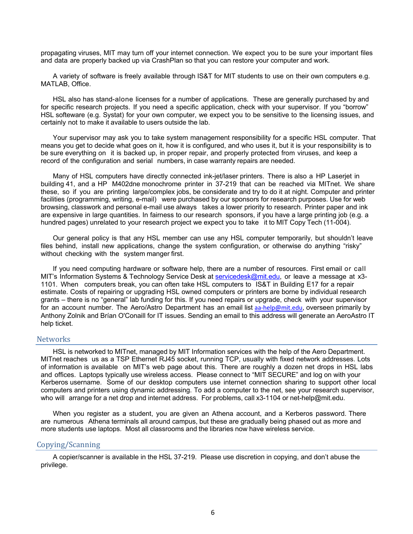propagating viruses, MIT may turn off your internet connection. We expect you to be sure your important files and data are properly backed up via CrashPlan so that you can restore your computer and work.

A variety of software is freely available through IS&T for MIT students to use on their own computers e.g. MATLAB, Office.

HSL also has stand-alone licenses for a number of applications. These are generally purchased by and for specific research projects. If you need a specific application, check with your supervisor. If you "borrow" HSL softeware (e.g. Systat) for your own computer, we expect you to be sensitive to the licensing issues, and certainly not to make it available to users outside the lab.

Your supervisor may ask you to take system management responsibility for a specific HSL computer. That means you get to decide what goes on it, how it is configured, and who uses it, but it is your responsibility is to be sure everything on it is backed up, in proper repair, and properly protected from viruses, and keep a record of the configuration and serial numbers, in case warranty repairs are needed.

Many of HSL computers have directly connected ink-jet/laser printers. There is also a HP Laserjet in building 41, and a HP M402dne monochrome printer in 37-219 that can be reached via MITnet. We share these, so if you are printing large/complex jobs, be considerate and try to do it at night. Computer and printer facilities (programming, writing, e-mail) were purchased by our sponsors for research purposes. Use for web browsing, classwork and personal e-mail use always takes a lower priority to research. Printer paper and ink are expensive in large quantities. In fairness to our research sponsors, if you have a large printing job (e.g. a hundred pages) unrelated to your research project we expect you to take it to MIT Copy Tech (11-004).

Our general policy is that any HSL member can use any HSL computer temporarily, but shouldn't leave files behind, install new applications, change the system configuration, or otherwise do anything "risky" without checking with the system manger first.

If you need computing hardware or software help, there are a number of resources. First email or call MIT's Information Systems & Technology Service Desk at servicedesk@mit.edu, or leave a message at x3-1101. When computers break, you can often take HSL computers to IS&T in Building E17 for a repair estimate. Costs of repairing or upgrading HSL owned computers or printers are borne by individual research grants – there is no "general" lab funding for this. If you need repairs or upgrade, check with your supervisor for an account number. The Aero/Astro Department has an email list aa-help@mit.edu, overseen primarily by Anthony Zolnik and Brían O'Conaill for IT issues. Sending an email to this address will generate an AeroAstro IT help ticket.

#### **Networks**

HSL is networked to MITnet, managed by MIT Information services with the help of the Aero Department. MITnet reaches us as a TSP Ethernet RJ45 socket, running TCP, usually with fixed network addresses. Lots of information is available on MIT's web page about this. There are roughly a dozen net drops in HSL labs and offices. Laptops typically use wireless access. Please connect to "MIT SECURE" and log on with your Kerberos username. Some of our desktop computers use internet connection sharing to support other local computers and printers using dynamic addressing. To add a computer to the net, see your research supervisor, who will arrange for a net drop and internet address. For problems, call x3-1104 or net-help@mit.edu.

When you register as a student, you are given an Athena account, and a Kerberos password. There are numerous Athena terminals all around campus, but these are gradually being phased out as more and more students use laptops. Most all classrooms and the libraries now have wireless service.

#### Copying/Scanning

A copier/scanner is available in the HSL 37-219. Please use discretion in copying, and don't abuse the privilege.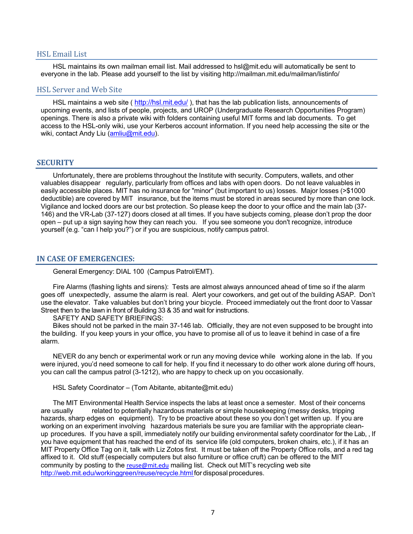#### HSL Email List

HSL maintains its own mailman email list. Mail addressed to hsl@mit.edu will automatically be sent to everyone in the lab. Please add yourself to the list by visiting http://mailman.mit.edu/mailman/listinfo/

#### HSL Server and Web Site

HSL maintains a web site ( http://hsl.mit.edu/ ), that has the lab publication lists, announcements of upcoming events, and lists of people, projects, and UROP (Undergraduate Research Opportunities Program) openings. There is also a private wiki with folders containing useful MIT forms and lab documents. To get access to the HSL-only wiki, use your Kerberos account information. If you need help accessing the site or the wiki, contact Andy Liu (amliu@mit.edu).

#### **SECURITY**

Unfortunately, there are problems throughout the Institute with security. Computers, wallets, and other valuables disappear regularly, particularly from offices and labs with open doors. Do not leave valuables in easily accessible places. MIT has no insurance for "minor" (but important to us) losses. Major losses (>\$1000 deductible) are covered by MIT insurance, but the items must be stored in areas secured by more than one lock. Vigilance and locked doors are our bst protection. So please keep the door to your office and the main lab (37- 146) and the VR-Lab (37-127) doors closed at all times. If you have subjects coming, please don't prop the door open – put up a sign saying how they can reach you. If you see someone you don't recognize, introduce yourself (e.g. "can I help you?") or if you are suspicious, notify campus patrol.

#### **IN CASE OF EMERGENCIES:**

General Emergency: DIAL 100 (Campus Patrol/EMT).

Fire Alarms (flashing lights and sirens): Tests are almost always announced ahead of time so if the alarm goes off unexpectedly, assume the alarm is real. Alert your coworkers, and get out of the building ASAP. Don't use the elevator. Take valuables but don't bring your bicycle. Proceed immediately out the front door to Vassar Street then to the lawn in front of Building 33 & 35 and wait for instructions.

SAFETY AND SAFETY BRIEFINGS:

Bikes should not be parked in the main 37-146 lab. Officially, they are not even supposed to be brought into the building. If you keep yours in your office, you have to promise all of us to leave it behind in case of a fire alarm.

NEVER do any bench or experimental work or run any moving device while working alone in the lab. If you were injured, you'd need someone to call for help. If you find it necessary to do other work alone during off hours, you can call the campus patrol (3-1212), who are happy to check up on you occasionally.

HSL Safety Coordinator – (Tom Abitante, abitante@mit.edu)

The MIT Environmental Health Service inspects the labs at least once a semester. Most of their concerns are usually related to potentially hazardous materials or simple housekeeping (messy desks, tripping hazards, sharp edges on equipment). Try to be proactive about these so you don't get written up. If you are working on an experiment involving hazardous materials be sure you are familiar with the appropriate cleanup procedures. If you have a spill, immediately notify our building environmental safety coordinator for the Lab, , If you have equipment that has reached the end of its service life (old computers, broken chairs, etc.), if it has an MIT Property Office Tag on it, talk with Liz Zotos first. It must be taken off the Property Office rolls, and a red tag affixed to it. Old stuff (especially computers but also furniture or office cruft) can be offered to the MIT community by posting to the reuse@mit.edu mailing list. Check out MIT's recycling web site http://web.mit.edu/workinggreen/reuse/recycle.html for disposal procedures.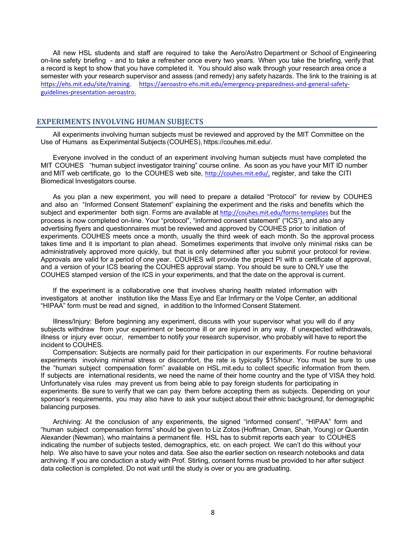All new HSL students and staff are required to take the Aero/Astro Department or School of Engineering on-line safety briefing - and to take a refresher once every two years. When you take the briefing, verify that a record is kept to show that you have completed it. You should also walk through your research area once a semester with your research supervisor and assess (and remedy) any safety hazards. The link to the training is at https://ehs.mit.edu/site/training. https://aeroastro-ehs.mit.edu/emergency-preparedness-and-general-safetyguidelines-presentation-aeroastro.

#### **EXPERIMENTS INVOLVING HUMAN SUBJECTS**

All experiments involving human subjects must be reviewed and approved by the MIT Committee on the Use of Humans as Experimental Subjects (COUHES), https://couhes.mit.edu/.

Everyone involved in the conduct of an experiment involving human subjects must have completed the MIT COUHES "human subject investigator training" course online. As soon as you have your MIT ID number and MIT web certificate, go to the COUHES web site, http://couhes.mit.edu/, register, and take the CITI Biomedical Investigators course.

As you plan a new experiment, you will need to prepare a detailed "Protocol" for review by COUHES and also an "Informed Consent Statement" explaining the experiment and the risks and benefits which the subject and experimenter both sign. Forms are available at http://couhes.mit.edu/forms-templates but the process is now completed on-line. Your "protocol", "informed consent statement" ("ICS"), and also any advertising flyers and questionnaires must be reviewed and approved by COUHES prior to initiation of experiments. COUHES meets once a month, usually the third week of each month. So the approval process takes time and it is important to plan ahead. Sometimes experiments that involve only minimal risks can be administratively approved more quickly, but that is only determined after you submit your protocol for review. Approvals are valid for a period of one year. COUHES will provide the project PI with a certificate of approval, and a version of your ICS bearing the COUHES approval stamp. You should be sure to ONLY use the COUHES stamped version of the ICS in your experiments, and that the date on the approval is current.

If the experiment is a collaborative one that involves sharing health related information with investigators at another institution like the Mass Eye and Ear Infirmary or the Volpe Center, an additional "HIPAA" form must be read and signed, in addition to the Informed Consent Statement.

Illness/Injury: Before beginning any experiment, discuss with your supervisor what you will do if any subjects withdraw from your experiment or become ill or are injured in any way. If unexpected withdrawals, illness or injury ever occur, remember to notify your research supervisor, who probably will have to report the incident to COUHES.

Compensation: Subjects are normally paid for their participation in our experiments. For routine behavioral experiments involving minimal stress or discomfort, the rate is typically \$15/hour. You must be sure to use the "human subject compensation form" available on HSL.mit.edu to collect specific information from them. If subjects are international residents, we need the name of their home country and the type of VISA they hold. Unfortunately visa rules may prevent us from being able to pay foreign students for participating in experiments. Be sure to verify that we can pay them before accepting them as subjects. Depending on your sponsor's requirements, you may also have to ask your subject about their ethnic background, for demographic balancing purposes.

Archiving: At the conclusion of any experiments, the signed "informed consent", "HIPAA" form and "human subject compensation forms" should be given to Liz Zotos (Hoffman, Oman, Shah, Young) or Quentin Alexander (Newman), who maintains a permanent file. HSL has to submit reports each year to COUHES indicating the number of subjects tested, demographics, etc. on each project. We can't do this without your help. We also have to save your notes and data. See also the earlier section on research notebooks and data archiving. If you are conduction a study with Prof. Stirling, consent forms must be provided to her after subject data collection is completed. Do not wait until the study is over or you are graduating.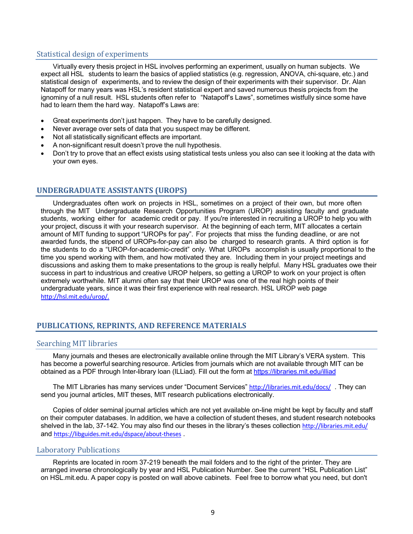## Statistical design of experiments

Virtually every thesis project in HSL involves performing an experiment, usually on human subjects. We expect all HSL students to learn the basics of applied statistics (e.g. regression, ANOVA, chi-square, etc.) and statistical design of experiments, and to review the design of their experiments with their supervisor. Dr. Alan Natapoff for many years was HSL's resident statistical expert and saved numerous thesis projects from the ignominy of a null result. HSL students often refer to "Natapoff's Laws", sometimes wistfully since some have had to learn them the hard way. Natapoff's Laws are:

- Great experiments don't just happen. They have to be carefully designed.
- Never average over sets of data that you suspect may be different.
- Not all statistically significant effects are important.
- A non-significant result doesn't prove the null hypothesis.
- Don't try to prove that an effect exists using statistical tests unless you also can see it looking at the data with your own eyes.

## **UNDERGRADUATE ASSISTANTS (UROPS)**

Undergraduates often work on projects in HSL, sometimes on a project of their own, but more often through the MIT Undergraduate Research Opportunities Program (UROP) assisting faculty and graduate students, working either for academic credit or pay. If you're interested in recruiting a UROP to help you with your project, discuss it with your research supervisor. At the beginning of each term, MIT allocates a certain amount of MIT funding to support "UROPs for pay". For projects that miss the funding deadline, or are not awarded funds, the stipend of UROPs-for-pay can also be charged to research grants. A third option is for the students to do a "UROP-for-academic-credit" only. What UROPs accomplish is usually proportional to the time you spend working with them, and how motivated they are. Including them in your project meetings and discussions and asking them to make presentations to the group is really helpful. Many HSL graduates owe their success in part to industrious and creative UROP helpers, so getting a UROP to work on your project is often extremely worthwhile. MIT alumni often say that their UROP was one of the real high points of their undergraduate years, since it was their first experience with real research. HSL UROP web page http://hsl.mit.edu/urop/.

## **PUBLICATIONS, REPRINTS, AND REFERENCE MATERIALS**

## Searching MIT libraries

Many journals and theses are electronically available online through the MIT Library's VERA system. This has become a powerful searching resource. Articles from journals which are not available through MIT can be obtained as a PDF through Inter-library loan (ILLiad). Fill out the form at https://libraries.mit.edu/illiad

The MIT Libraries has many services under "Document Services" http://libraries.mit.edu/docs/ . They can send you journal articles, MIT theses, MIT research publications electronically.

Copies of older seminal journal articles which are not yet available on-line might be kept by faculty and staff on their computer databases. In addition, we have a collection of student theses, and student research notebooks shelved in the lab, 37-142. You may also find our theses in the library's theses collection http://libraries.mit.edu/ and https://libguides.mit.edu/dspace/about-theses .

## Laboratory Publications

Reprints are located in room 37-219 beneath the mail folders and to the right of the printer. They are arranged inverse chronologically by year and HSL Publication Number. See the current "HSL Publication List" on HSL.mit.edu. A paper copy is posted on wall above cabinets. Feel free to borrow what you need, but don't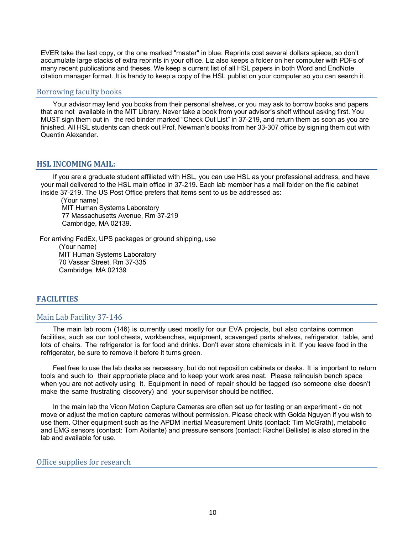EVER take the last copy, or the one marked "master" in blue. Reprints cost several dollars apiece, so don't accumulate large stacks of extra reprints in your office. Liz also keeps a folder on her computer with PDFs of many recent publications and theses. We keep a current list of all HSL papers in both Word and EndNote citation manager format. It is handy to keep a copy of the HSL publist on your computer so you can search it.

#### Borrowing faculty books

Your advisor may lend you books from their personal shelves, or you may ask to borrow books and papers that are not available in the MIT Library. Never take a book from your advisor's shelf without asking first. You MUST sign them out in the red binder marked "Check Out List" in 37-219, and return them as soon as you are finished. All HSL students can check out Prof. Newman's books from her 33-307 office by signing them out with Quentin Alexander.

## **HSL INCOMING MAIL:**

If you are a graduate student affiliated with HSL, you can use HSL as your professional address, and have your mail delivered to the HSL main office in 37-219. Each lab member has a mail folder on the file cabinet inside 37-219. The US Post Office prefers that items sent to us be addressed as:

(Your name) MIT Human Systems Laboratory 77 Massachusetts Avenue, Rm 37-219 Cambridge, MA 02139.

For arriving FedEx, UPS packages or ground shipping, use (Your name) MIT Human Systems Laboratory 70 Vassar Street, Rm 37-335 Cambridge, MA 02139

## **FACILITIES**

#### Main Lab Facility 37-146

The main lab room (146) is currently used mostly for our EVA projects, but also contains common facilities, such as our tool chests, workbenches, equipment, scavenged parts shelves, refrigerator, table, and lots of chairs. The refrigerator is for food and drinks. Don't ever store chemicals in it. If you leave food in the refrigerator, be sure to remove it before it turns green.

Feel free to use the lab desks as necessary, but do not reposition cabinets or desks. It is important to return tools and such to their appropriate place and to keep your work area neat. Please relinquish bench space when you are not actively using it. Equipment in need of repair should be tagged (so someone else doesn't make the same frustrating discovery) and your supervisor should be notified.

In the main lab the Vicon Motion Capture Cameras are often set up for testing or an experiment - do not move or adjust the motion capture cameras without permission. Please check with Golda Nguyen if you wish to use them. Other equipment such as the APDM Inertial Measurement Units (contact: Tim McGrath), metabolic and EMG sensors (contact: Tom Abitante) and pressure sensors (contact: Rachel Bellisle) is also stored in the lab and available for use.

#### Office supplies for research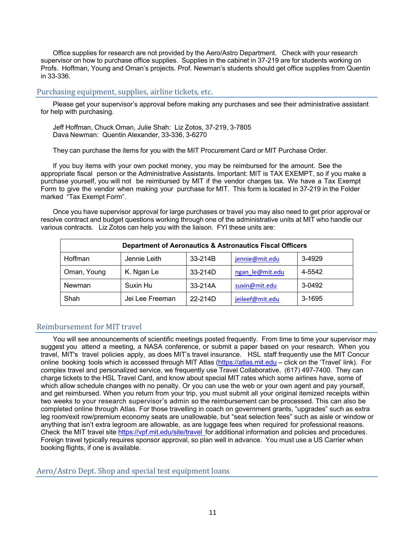Office supplies for research are not provided by the Aero/Astro Department. Check with your research supervisor on how to purchase office supplies. Supplies in the cabinet in 37-219 are for students working on Profs. Hoffman, Young and Oman's projects. Prof. Newman's students should get office supplies from Quentin in 33-336.

## Purchasing equipment, supplies, airline tickets, etc.

Please get your supervisor's approval before making any purchases and see their administrative assistant for help with purchasing.

Jeff Hoffman, Chuck Oman, Julie Shah: Liz Zotos, 37-219, 3-7805 Dava Newman: Quentin Alexander, 33-336, 3-6270

They can purchase the items for you with the MIT Procurement Card or MIT Purchase Order.

If you buy items with your own pocket money, you may be reimbursed for the amount. See the appropriate fiscal person or the Administrative Assistants. Important: MIT is TAX EXEMPT, so if you make a purchase yourself, you will not be reimbursed by MIT if the vendor charges tax. We have a Tax Exempt Form to give the vendor when making your purchase for MIT. This form is located in 37-219 in the Folder marked "Tax Exempt Form".

Once you have supervisor approval for large purchases or travel you may also need to get prior approval or resolve contract and budget questions working through one of the administrative units at MIT who handle our various contracts. Liz Zotos can help you with the liaison. FYI these units are:

| <b>Department of Aeronautics &amp; Astronautics Fiscal Officers</b> |                 |         |                 |        |  |
|---------------------------------------------------------------------|-----------------|---------|-----------------|--------|--|
| <b>Hoffman</b>                                                      | Jennie Leith    | 33-214B | jennie@mit.edu  | 3-4929 |  |
| Oman, Young                                                         | K. Ngan Le      | 33-214D | ngan le@mit.edu | 4-5542 |  |
| Newman                                                              | Suxin Hu        | 33-214A | suxin@mit.edu   | 3-0492 |  |
| Shah                                                                | Jei Lee Freeman | 22-214D | jeileef@mit.edu | 3-1695 |  |

## Reimbursement for MIT travel

You will see announcements of scientific meetings posted frequently. From time to time your supervisor may suggest you attend a meeting, a NASA conference, or submit a paper based on your research. When you travel, MIT's travel policies apply, as does MIT's travel insurance. HSL staff frequently use the MIT Concur online booking tools which is accessed through MIT Atlas (https://atlas.mit.edu - click on the 'Travel' link). For complex travel and personalized service, we frequently use Travel Collaborative, (617) 497-7400. They can charge tickets to the HSL Travel Card, and know about special MIT rates which some airlines have, some of which allow schedule changes with no penalty. Or you can use the web or your own agent and pay yourself, and get reimbursed. When you return from your trip, you must submit all your original itemized receipts within two weeks to your research supervisor's admin so the reimbursement can be processed. This can also be completed online through Atlas. For those travelling in coach on government grants, "upgrades" such as extra leg room/exit row/premium economy seats are unallowable, but "seat selection fees" such as aisle or window or anything that isn't extra legroom are allowable, as are luggage fees when required for professional reasons. Check the MIT travel site https://vpf.mit.edu/site/travel for additional information and policies and procedures. Foreign travel typically requires sponsor approval, so plan well in advance. You must use a US Carrier when booking flights, if one is available.

## Aero/Astro Dept. Shop and special test equipment loans